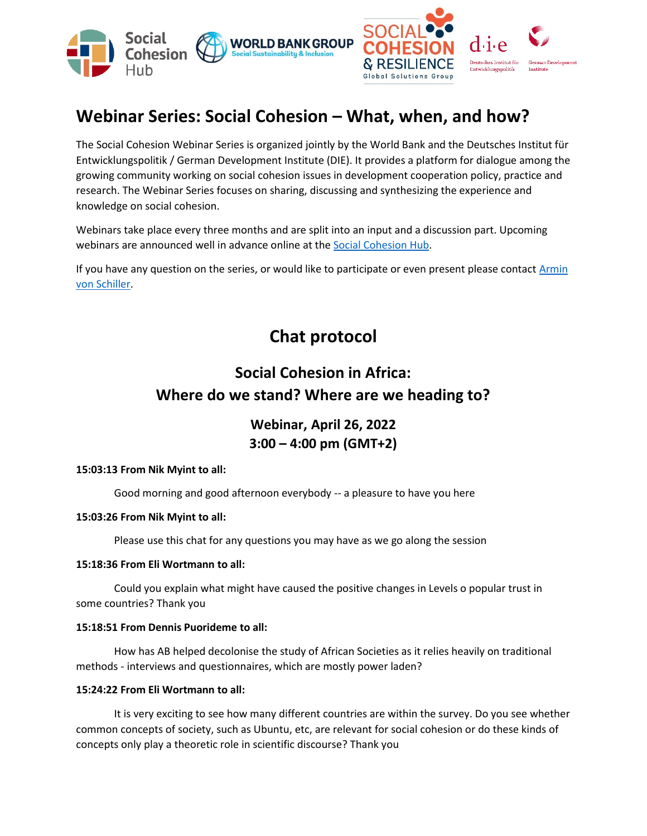

# **Webinar Series: Social Cohesion – What, when, and how?**

The Social Cohesion Webinar Series is organized jointly by the World Bank and the Deutsches Institut für Entwicklungspolitik / German Development Institute (DIE). It provides a platform for dialogue among the growing community working on social cohesion issues in development cooperation policy, practice and research. The Webinar Series focuses on sharing, discussing and synthesizing the experience and knowledge on social cohesion.

Webinars take place every three months and are split into an input and a discussion part. Upcoming webinars are announced well in advance online at th[e Social Cohesion Hub.](http://www.socialcohesion.info/)

If you have any question on the series, or would like to participate or even present please contact [Armin](https://www.die-gdi.de/en/armin-von-schiller/)  [von Schiller.](https://www.die-gdi.de/en/armin-von-schiller/)

**Chat protocol**

# **Social Cohesion in Africa: Where do we stand? Where are we heading to?**

**Webinar, April 26, 2022 3:00 – 4:00 pm (GMT+2)**

## **15:03:13 From Nik Myint to all:**

Good morning and good afternoon everybody -- a pleasure to have you here

## **15:03:26 From Nik Myint to all:**

Please use this chat for any questions you may have as we go along the session

# **15:18:36 From Eli Wortmann to all:**

Could you explain what might have caused the positive changes in Levels o popular trust in some countries? Thank you

## **15:18:51 From Dennis Puorideme to all:**

How has AB helped decolonise the study of African Societies as it relies heavily on traditional methods - interviews and questionnaires, which are mostly power laden?

## **15:24:22 From Eli Wortmann to all:**

It is very exciting to see how many different countries are within the survey. Do you see whether common concepts of society, such as Ubuntu, etc, are relevant for social cohesion or do these kinds of concepts only play a theoretic role in scientific discourse? Thank you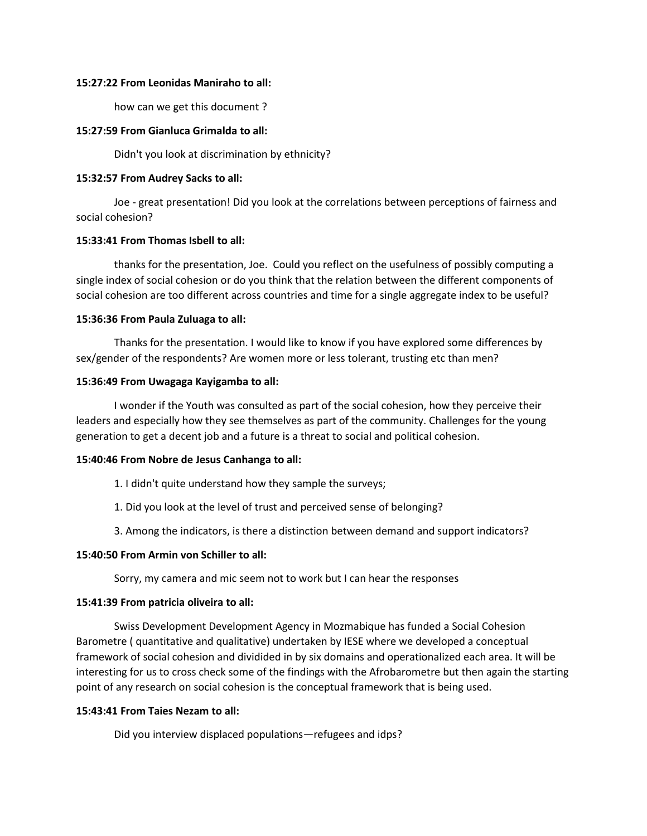#### **15:27:22 From Leonidas Maniraho to all:**

how can we get this document ?

#### **15:27:59 From Gianluca Grimalda to all:**

Didn't you look at discrimination by ethnicity?

#### **15:32:57 From Audrey Sacks to all:**

Joe - great presentation! Did you look at the correlations between perceptions of fairness and social cohesion?

#### **15:33:41 From Thomas Isbell to all:**

thanks for the presentation, Joe. Could you reflect on the usefulness of possibly computing a single index of social cohesion or do you think that the relation between the different components of social cohesion are too different across countries and time for a single aggregate index to be useful?

#### **15:36:36 From Paula Zuluaga to all:**

Thanks for the presentation. I would like to know if you have explored some differences by sex/gender of the respondents? Are women more or less tolerant, trusting etc than men?

#### **15:36:49 From Uwagaga Kayigamba to all:**

I wonder if the Youth was consulted as part of the social cohesion, how they perceive their leaders and especially how they see themselves as part of the community. Challenges for the young generation to get a decent job and a future is a threat to social and political cohesion.

#### **15:40:46 From Nobre de Jesus Canhanga to all:**

- 1. I didn't quite understand how they sample the surveys;
- 1. Did you look at the level of trust and perceived sense of belonging?
- 3. Among the indicators, is there a distinction between demand and support indicators?

#### **15:40:50 From Armin von Schiller to all:**

Sorry, my camera and mic seem not to work but I can hear the responses

#### **15:41:39 From patricia oliveira to all:**

Swiss Development Development Agency in Mozmabique has funded a Social Cohesion Barometre ( quantitative and qualitative) undertaken by IESE where we developed a conceptual framework of social cohesion and dividided in by six domains and operationalized each area. It will be interesting for us to cross check some of the findings with the Afrobarometre but then again the starting point of any research on social cohesion is the conceptual framework that is being used.

#### **15:43:41 From Taies Nezam to all:**

Did you interview displaced populations—refugees and idps?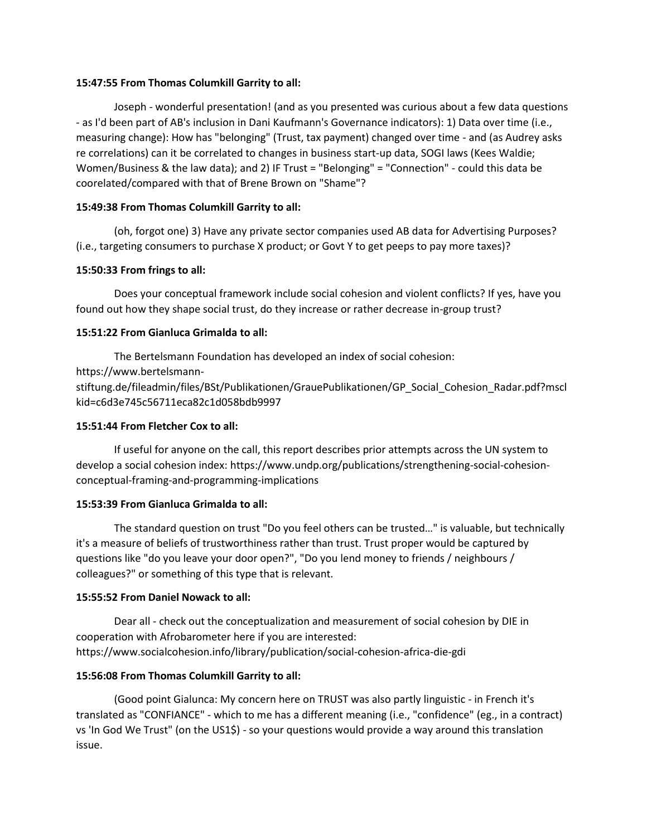## **15:47:55 From Thomas Columkill Garrity to all:**

Joseph - wonderful presentation! (and as you presented was curious about a few data questions - as I'd been part of AB's inclusion in Dani Kaufmann's Governance indicators): 1) Data over time (i.e., measuring change): How has "belonging" (Trust, tax payment) changed over time - and (as Audrey asks re correlations) can it be correlated to changes in business start-up data, SOGI laws (Kees Waldie; Women/Business & the law data); and 2) IF Trust = "Belonging" = "Connection" - could this data be coorelated/compared with that of Brene Brown on "Shame"?

## **15:49:38 From Thomas Columkill Garrity to all:**

(oh, forgot one) 3) Have any private sector companies used AB data for Advertising Purposes? (i.e., targeting consumers to purchase X product; or Govt Y to get peeps to pay more taxes)?

## **15:50:33 From frings to all:**

Does your conceptual framework include social cohesion and violent conflicts? If yes, have you found out how they shape social trust, do they increase or rather decrease in-group trust?

# **15:51:22 From Gianluca Grimalda to all:**

The Bertelsmann Foundation has developed an index of social cohesion: https://www.bertelsmannstiftung.de/fileadmin/files/BSt/Publikationen/GrauePublikationen/GP\_Social\_Cohesion\_Radar.pdf?mscl kid=c6d3e745c56711eca82c1d058bdb9997

## **15:51:44 From Fletcher Cox to all:**

If useful for anyone on the call, this report describes prior attempts across the UN system to develop a social cohesion index: https://www.undp.org/publications/strengthening-social-cohesionconceptual-framing-and-programming-implications

## **15:53:39 From Gianluca Grimalda to all:**

The standard question on trust "Do you feel others can be trusted…" is valuable, but technically it's a measure of beliefs of trustworthiness rather than trust. Trust proper would be captured by questions like "do you leave your door open?", "Do you lend money to friends / neighbours / colleagues?" or something of this type that is relevant.

## **15:55:52 From Daniel Nowack to all:**

Dear all - check out the conceptualization and measurement of social cohesion by DIE in cooperation with Afrobarometer here if you are interested: https://www.socialcohesion.info/library/publication/social-cohesion-africa-die-gdi

## **15:56:08 From Thomas Columkill Garrity to all:**

(Good point Gialunca: My concern here on TRUST was also partly linguistic - in French it's translated as "CONFIANCE" - which to me has a different meaning (i.e., "confidence" (eg., in a contract) vs 'In God We Trust" (on the US1\$) - so your questions would provide a way around this translation issue.